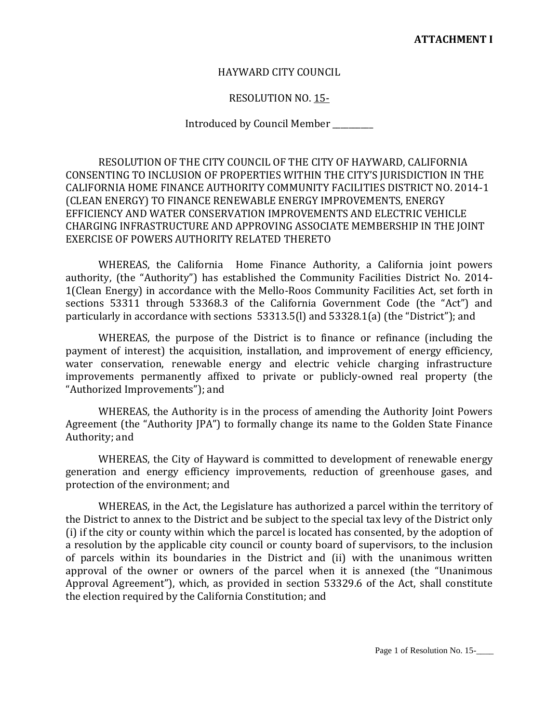## HAYWARD CITY COUNCIL

## RESOLUTION NO. 15-

## Introduced by Council Member \_\_\_\_\_\_\_\_\_\_

RESOLUTION OF THE CITY COUNCIL OF THE CITY OF HAYWARD, CALIFORNIA CONSENTING TO INCLUSION OF PROPERTIES WITHIN THE CITY'S JURISDICTION IN THE CALIFORNIA HOME FINANCE AUTHORITY COMMUNITY FACILITIES DISTRICT NO. 2014-1 (CLEAN ENERGY) TO FINANCE RENEWABLE ENERGY IMPROVEMENTS, ENERGY EFFICIENCY AND WATER CONSERVATION IMPROVEMENTS AND ELECTRIC VEHICLE CHARGING INFRASTRUCTURE AND APPROVING ASSOCIATE MEMBERSHIP IN THE JOINT EXERCISE OF POWERS AUTHORITY RELATED THERETO

WHEREAS, the California Home Finance Authority, a California joint powers authority, (the "Authority") has established the Community Facilities District No. 2014- 1(Clean Energy) in accordance with the Mello-Roos Community Facilities Act, set forth in sections 53311 through 53368.3 of the California Government Code (the "Act") and particularly in accordance with sections 53313.5(l) and 53328.1(a) (the "District"); and

WHEREAS, the purpose of the District is to finance or refinance (including the payment of interest) the acquisition, installation, and improvement of energy efficiency, water conservation, renewable energy and electric vehicle charging infrastructure improvements permanently affixed to private or publicly-owned real property (the "Authorized Improvements"); and

WHEREAS, the Authority is in the process of amending the Authority Joint Powers Agreement (the "Authority JPA") to formally change its name to the Golden State Finance Authority; and

WHEREAS, the City of Hayward is committed to development of renewable energy generation and energy efficiency improvements, reduction of greenhouse gases, and protection of the environment; and

WHEREAS, in the Act, the Legislature has authorized a parcel within the territory of the District to annex to the District and be subject to the special tax levy of the District only (i) if the city or county within which the parcel is located has consented, by the adoption of a resolution by the applicable city council or county board of supervisors, to the inclusion of parcels within its boundaries in the District and (ii) with the unanimous written approval of the owner or owners of the parcel when it is annexed (the "Unanimous Approval Agreement"), which, as provided in section 53329.6 of the Act, shall constitute the election required by the California Constitution; and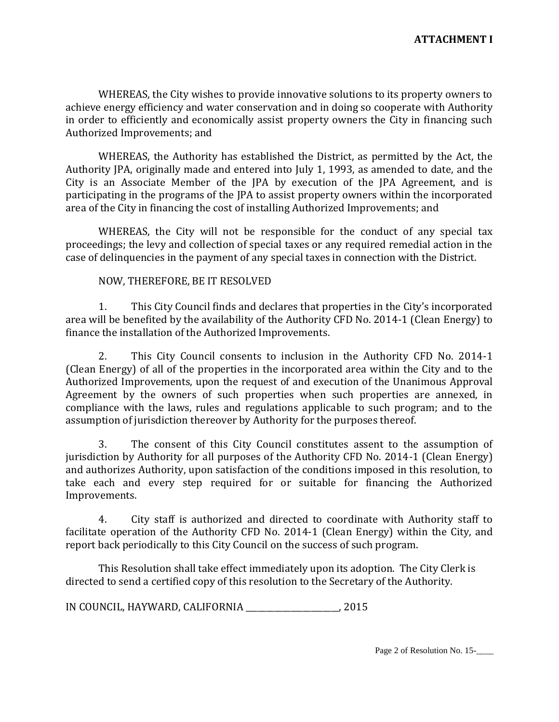WHEREAS, the City wishes to provide innovative solutions to its property owners to achieve energy efficiency and water conservation and in doing so cooperate with Authority in order to efficiently and economically assist property owners the City in financing such Authorized Improvements; and

WHEREAS, the Authority has established the District, as permitted by the Act, the Authority JPA, originally made and entered into July 1, 1993, as amended to date, and the City is an Associate Member of the JPA by execution of the JPA Agreement, and is participating in the programs of the JPA to assist property owners within the incorporated area of the City in financing the cost of installing Authorized Improvements; and

WHEREAS, the City will not be responsible for the conduct of any special tax proceedings; the levy and collection of special taxes or any required remedial action in the case of delinquencies in the payment of any special taxes in connection with the District.

## NOW, THEREFORE, BE IT RESOLVED

1. This City Council finds and declares that properties in the City's incorporated area will be benefited by the availability of the Authority CFD No. 2014-1 (Clean Energy) to finance the installation of the Authorized Improvements.

2. This City Council consents to inclusion in the Authority CFD No. 2014-1 (Clean Energy) of all of the properties in the incorporated area within the City and to the Authorized Improvements, upon the request of and execution of the Unanimous Approval Agreement by the owners of such properties when such properties are annexed, in compliance with the laws, rules and regulations applicable to such program; and to the assumption of jurisdiction thereover by Authority for the purposes thereof.

3. The consent of this City Council constitutes assent to the assumption of jurisdiction by Authority for all purposes of the Authority CFD No. 2014-1 (Clean Energy) and authorizes Authority, upon satisfaction of the conditions imposed in this resolution, to take each and every step required for or suitable for financing the Authorized Improvements.

4. City staff is authorized and directed to coordinate with Authority staff to facilitate operation of the Authority CFD No. 2014-1 (Clean Energy) within the City, and report back periodically to this City Council on the success of such program.

This Resolution shall take effect immediately upon its adoption. The City Clerk is directed to send a certified copy of this resolution to the Secretary of the Authority.

IN COUNCIL, HAYWARD, CALIFORNIA \_\_\_\_\_\_\_\_\_\_\_\_\_\_\_\_\_\_\_\_\_\_\_, 2015